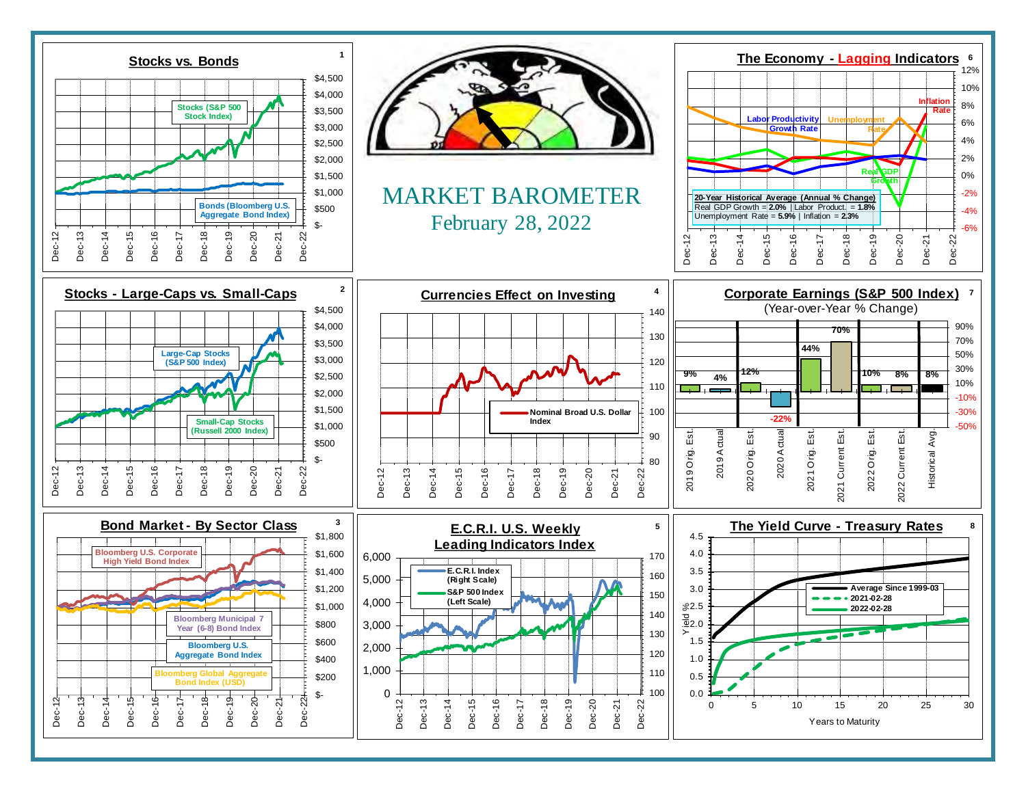